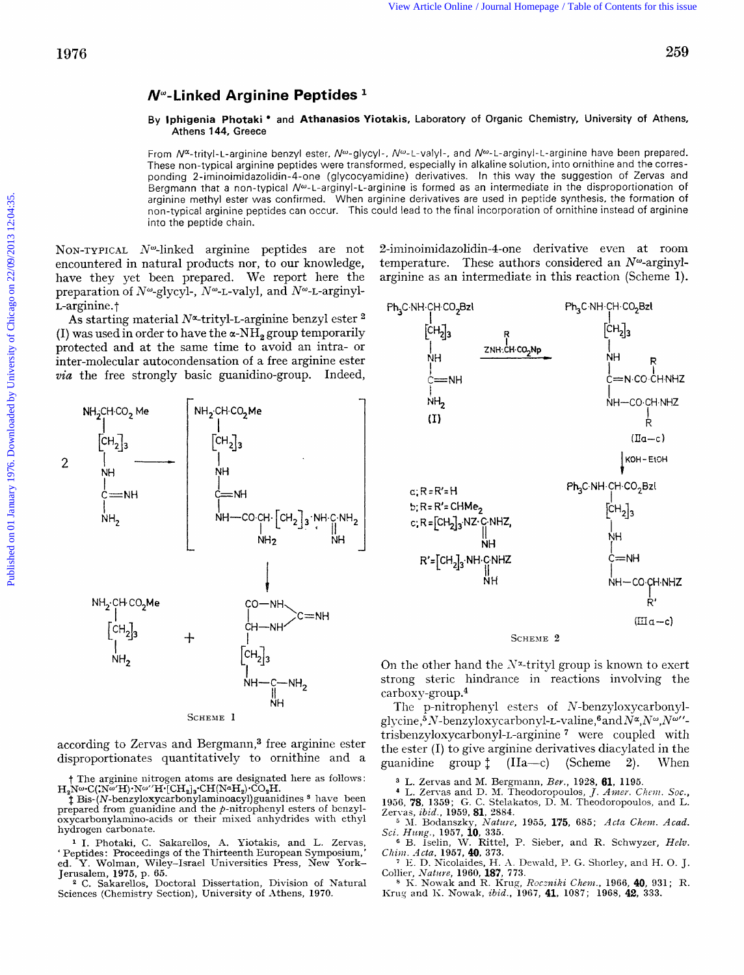## **N"-Linked Arginine Peptides**

## **By lphigenia Photaki** and **Athanasios Yiotakis,** Laboratory of Organic Chemistry, University of Athens, Athens **144, Greece**

From  $N^{\alpha}$ -trityl-L-arginine benzyl ester,  $N^{\omega}$ -glycyl-,  $N^{\omega}$ -L-valyl-, and  $N^{\omega}$ -L-arginyl-L-arginine have been prepared. These non-typical arginine peptides were transformed, especially in alkaline solution, into ornithine and the corresponding 2-iminoimidazolidin-4-one (glycocyamidine) derivatives. In this way the suggestion *of* Zervas and Bergmann that a non-typical N<sup>w</sup>-L-arginyl-L-arginine is formed as an intermediate in the disproportionation of arginine methyl ester was confirmed. When arginine derivatives are used in peptide synthesis, the formation of non-typical arginine peptides can occur. This could lead to the final incorporation of ornithine instead of arginine into the peptide chain.

NON-TYPICAL  $N^{\omega}$ -linked arginine peptides are not encountered in natural products nor, to our knowledge, have they yet been prepared. We report here the preparation of  $N^{\omega}$ -glycyl-,  $N^{\omega}$ -L-valyl, and  $N^{\omega}$ -L-arginyl-L-arginine.<sup>†</sup>

As starting material  $N^{\alpha}$ -trityl-L-arginine benzyl ester  $^2$ (I) was used in order to have the  $\alpha$ -NH<sub>2</sub> group temporarily protected and at the same time to avoid an intra- or inter-molecular autocondensation of a free arginine ester *via* the free strongly basic guanidino-group. Indeed,



according to Zervas and Bergmann,3 free arginine ester disproportionates quantitatively to ornithine and a

*7* The arginine nitrogen atoms are designated here as follows:

H<sub>2</sub>Nw•C(:Nw<sup>'</sup>H)·Nw''H<sup>-</sup>[CH<sub>2</sub>]<sub>3</sub>·CH(N<sup>a</sup>H<sub>2</sub>)·CO<sub>2</sub>H.<br>
<sup>\*</sup> **#** Bis-(N-benzyloxycarbonylaminoacyl)guanidines <sup>8</sup> have been prepared from guanidine and the  $p$ -nitrophenyl esters of benzyloxycarbonylamino-acids or their mixed anhydrides with ethyl hydrogen carbonate.

I. Photaki, C. Sakarellos, **A.** Yiotakis, and L. Zervas, ' Peptides : Proceedings of the Thirteenth European Symposium,' ed. *Y.* Wolman, Wiley-Israel Universities Press, New York-Jerusalem, **1975,** p. **65.** 

C. Sakarellos. Doctoral Dissertation, Division of Natural Sciences (Chemistry Section), University of Athens, 1970.

2-iniinoiniidazolidin-4-one derivative even at room temperature. These authors considered an  $N^{\omega}$ -arginylarginine as an intermediate in this reaction (Scheme I).



On the other hand the  $N^*$ -trityl group is known to exert strong steric hindrance in reactions involving the carboxy-group.<sup>4</sup>

The p-nitrophenyl esters of N-benzyloxycarbonylglycine,<sup>5</sup> *N*-benzyloxycarbonyl-L-valine,<sup>6</sup> and  $N^{\alpha}$ ,  $N^{\omega}$ ,  $N^{\omega}$ ''trisbenzyloxycarbonyl-L-arginine<sup>7</sup> were coupled with the ester (I) to give arginine derivatives diacyIated in the guanidine group  $\ddagger$  (IIa—c) (Scheme 2). When

**<sup>3</sup>**L. Zervas and M. Bergniann, *Ber.,* **1928, 61, 1195.**  L. Zervas and D. **M.** Theodoropoulos, *J. Atner. Cliciii.* Soc., **1936, 78, 1359; G.** C. Stelakatos, D. M. Theodoropoulos, and L. Zervas, *ibtd.,* **1959, 81, 2884.** 

<sup>5</sup>**M.** Bodanszky, *Nature,* **1955, 175, 685;** *Acln Chenz. Acad. Sci. Hung.,* **1957, 10, 335.**  B. Iselin, W. Rittel, P. Sieber, and R. Schwyzer, *Helv.* 

*Chim. Acta*, **1957, <b>40**, 373.<br>
<sup>7</sup> E. D. Nicolaides, H. A. Dewald, P. G. Shorley, and H. O. J.

Collier, *Natim,* **1960, 187, 773.** 

*<sup>8</sup>***I<.** Nowak and R. Krug, *Rocziziki Chenz.,* **1966, 40, 931; R.**  Kruy and K. Nowak, *ibid.,* **1067, 41, 1057; 1968, 42, 333.**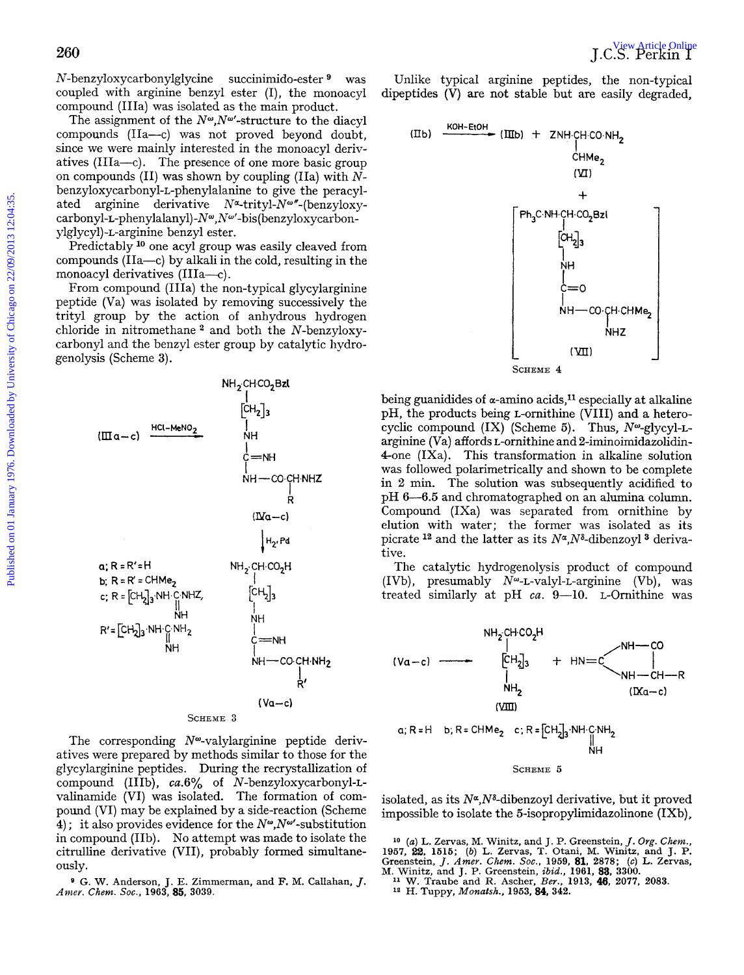N-benzyloxycarbonylglycine succinimido-ester was coupled with arginine benzyl ester (I), the monoacyl compound (IIIa) was isolated as the main product.

The assignment of the  $N^{\omega}$ ,  $N^{\omega}$ -structure to the diacyl compounds (IIa-c) was not proved beyond doubt, since we were mainly interested in the monoacyl derivatives (IIIa-c). The presence of one more basic group on compounds (11) was shown by coupling (IIa) with *N***benzyloxycarbonyl-L-phenylalanine** to give the peracylated arginine derivative  $N^{\alpha}$ -trityl- $N^{\omega}$ "-(benzyloxycarbonyl-L-phenylalanyl)-Nw,Nw'-bis (benzyloxycarbonylglycy1)-L-arginine benzyl ester.

Predictably <sup>10</sup> one acyl group was easily cleaved from compounds (IIa-c) by alkali in the cold, resulting in the monoacyl derivatives (IIIa-c).<br>From compound (IIIa) the non-typical glycylarginine

peptide (Va) was isolated by removing successively the trityl group by the action of anhydrous hydrogen chloride in nitromethane  $^2$  and both the N-benzyloxycarbonyl and the benzyl ester group by catalytic hydrogenolysis (Scheme **3).** 



The corresponding  $N^{\omega}$ -valylarginine peptide derivatives were prepared by methods similar to those for the glycylarginine peptides. During the recrystallization of compound (IIIb), *ca.6%* of N-benzyloxycarbonyl-Lvalinamide (VI) was isolated. The formation of compound (VI) may be explained by a side-reaction (Scheme **4)**; it also provides evidence for the  $N^{\omega}$ , N<sup> $\omega$ </sup>-substitution in compound (IIb). No attempt was made to isolate the citrulline derivative (VII), probably formed simultaneously.

**<sup>9</sup>**G. **W.** Anderson, J. E. Zimmerman, and F. M. Callahan, *J. Anlev. Chem.* **SOC., 1963, 85, 3039.** 

Unlike typical arginine peptides, the non-typical dipeptides (V) are not stable but are easily degraded,



being guanidides of  $\alpha$ -amino acids,<sup>11</sup> especially at alkaline pH, the products being L-ornithine (VIII) and a heterocyclic compound  $(IX)$  (Scheme 5). Thus,  $N^{\omega}$ -glycyl-Larginine (Va) affords L-ornithine and 2-iminoimidazolidin-  $4$ -one (IXa). This transformation in alkaline solution was followed polarimetrically and shown to be complete in **2** min. The solution was subsequently acidified to **pH 6-6.5** and chromatographed on an alumina column. Compound (IXa) was separated from ornithine by elution with water; the former was isolated as its picrate <sup>12</sup> and the latter as its  $N^{\alpha}$ ,  $N^{\delta}$ -dibenzoyl<sup>3</sup> derivative.

The catalytic hydrogenolysis product of compound (IVb), presumably  $N^{\omega}$ -L-valyl-L-arginine (Vb), was treated similarly at pH *ca.* 9-10. L-Ornithine was



isolated, as its  $N^{\alpha}$ ,  $N^{\delta}$ -dibenzoyl derivative, but it proved impossible to isolate the 5-isopropylimidazolinone (IXb) ,

<sup>10</sup> (a) L. Zervas, M. Winitz, and J. P. Greenstein, *J. Org. Chem.*, 1957, 22, 1515; (b) L. Zervas, T. Otani, M. Winitz, and J. P. Greenstein, *J. Amer. Chem. Soc.*, 1959, 81, 2878; (c) L. Zervas, M. Winitz, and J. P. Gre

**<sup>n</sup>**W. **Traube** and R. **Ascher,** *Ber.,* **1913, 46, 2077, 2083. 12 H. Tuppy,** *Monatsh.,* **1963,84,** *342.*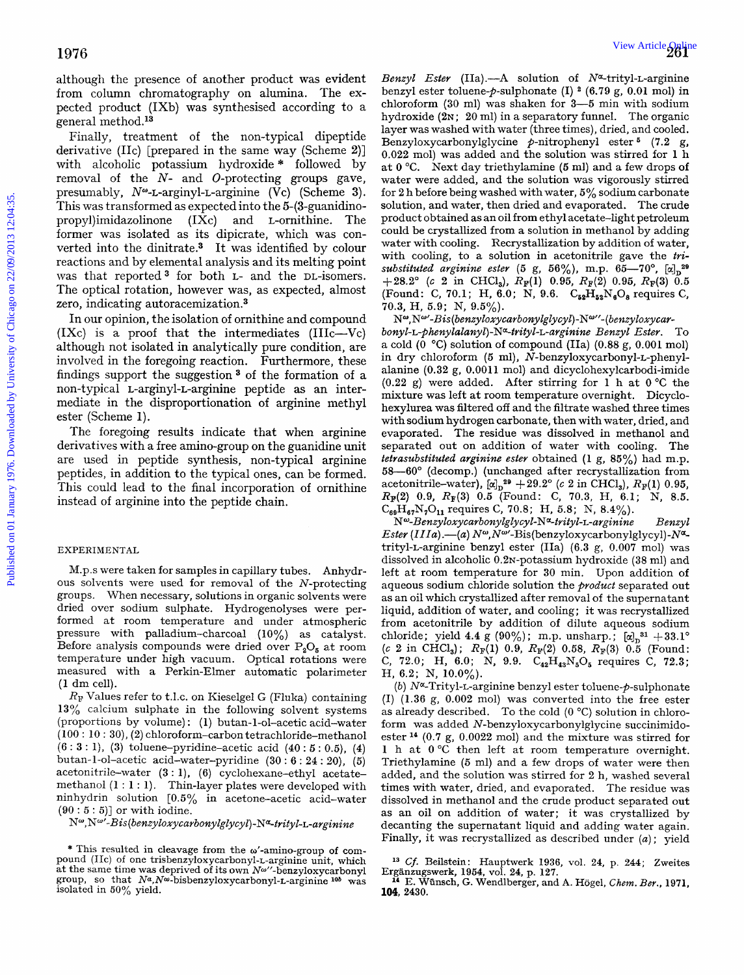although the presence of another product was evident from column chromatography on alumina. The expected product (IXb) was synthesised according to a general method.13

Finally, treatment of the non-typical dipeptide derivative (IIc) [prepared in the same way (Scheme **2)]**  with alcoholic potassium hydroxide \* followed by removal of the *N-* and O-protecting groups gave, presumably,  $N^{\omega}$ -L-arginyl-L-arginine (Vc) (Scheme 3). This was transformed as expected into the 5-(3-guanidinopropy1)imidazolinone (IXc) and L-ornithine. The former was isolated as its dipicrate, which was converted into the dinitrate.3 It was identified by colour reactions and by elemental analysis and its melting point was that reported<sup>3</sup> for both L- and the DL-isomers. The optical rotation, however was, as expected, almost zero, indicating autoracemization.<sup>3</sup>

In our opinion, the isolation of ornithine and compound  $(IXc)$  is a proof that the intermediates  $(IIIc-Vc)$ although not isolated in analytically pure condition, are involved in the foregoing reaction. Furthermore, these findings support the suggestion  $3$  of the formation of a non-typical L-arginyl-L-arginine peptide **as** an intermediate in the disproportionation **of** arginine methyl ester (Scheme **1).** 

The foregoing results indicate that when arginine derivatives with a free amino-group on the guanidine unit are used in peptide synthesis, non-typical arginine peptides, in addition to the typical ones, can be formed. This could lead to the final incorporation of ornithine instead of arginine into the peptide chain.

## EXPERIMENTAL

M.p.s were taken for samples in capillary tubes. Anhydrous solvents were used for removal of the N-protecting groups. When necessary, solutions in organic solvents were dried over sodium sulphate. Hydrogenolyses were performed at room temperature and under atmospheric pressure with palladium-charcoal **(10%)** as catalyst. Before analysis compounds were dried over  $P_2O_5$  at room temperature under high vacuum. Optical rotations were measured with a Perkin-Elmer automatic polarimeter (1 dm cell).

*RF* Values refer to t.1.c. on Kieselgel G (Flulra) containing **13%** calcium sulphate in the following solvent systems (proportions by volume): (1) butan-1-ol-acetic acid-water **(100** : **10** : **30), (2)** chloroform-carbon tetrachloride-methanol **(6** : **3** : **I), (3)** toluene-pyridine-acetic acid **(40** : 5 : *0.5),* **(4)**  butan-l-ol-acetic acid-water-pyridine **(30** : 6 : **24** : **20), (5)**  acetonitrile-water **(3** : **l),** (6) cyclohexane-ethyl acetatemethanol **(1** : 1 : **1).** Thin-layer plates were developed with ninhydrin solution *[0.5%* in acetone-acetic acid-water **(90** : 5 : *5)]* or with iodine.

 $N^{\omega}$ ,  $N^{\omega}$ '-Bis(benzyloxycarbonylglycyl)- $N^{\alpha}$ -trityl-L-arginine

*Benzyl Ester* (IIa) .- A solution of N<sup>ox-</sup>trityl-L-arginine benzyl ester toluene- $p$ -sulphonate (I)  $^{2}$  (6.79 g, 0.01 mol) in chloroform **(30** ml) was shaken for **3-5** min with sodium hydroxide (2N; 20 ml) in a separatory funnel. The organic layer was washed with water (three times), dried, and cooled. Benzyloxycarbonylglycine p-nitrophenyl ester **(7.2** g, **0.022** mol) was added and the solution was stirred for 1 h at 0 "C. Next day triethylamine *(5* ml) and a few drops of water were added, and the solution was vigorously stirred for **2** h before being washed with water, *5%* sodium carbonate solution, and water, then dried and evaporated. The crude product obtained as an oil from ethyl acetate-light petroleum could be crystallized from a solution in methanol by adding water with cooling. Recrystallization by addition of water, with cooling, to *a* solution in acetonitrile gave the *trisubstituted arginine ester* (5 g, 56%), m.p. 65-70°,  $[\alpha]_D^{29}$  $+28.2^{\circ}$  (c 2 in CHCl<sub>3</sub>),  $R_{\rm F}(1)$  0.95,  $R_{\rm F}(2)$  0.95,  $R_{\rm F}(3)$  0.5 (Found: C, 70.1; H, 6.0; N, 9.6.  $C_{52}H_{52}N_6O_8$  requires C, **70.3,** H, **5.9;** N, **9.5%).**  1976.<br>
Moreovice the procedure product was evident Boncy Eure (Ha)-A solution of Newtonia<br>
from column chromatography on alumina. The case being term is<br>significant (1) (4.79 g, 0.01 min) in protecting the analysis of Chi

 $N^{\omega}$ ,  $N^{\omega}$ '-Bis(benzyloxycarbonylglycyl)- $N^{\omega}$ "-(benzyloxycarbonyl-L-phenylalanyl)-N<sup>a</sup>-trityl-L-arginine *Benzyl Ester*. To a cold (0 *"C)* solution of compound (IIa) (0.88 *g,* 0.001 mol) in dry chloroform (5 ml), N-benzyloxycarbonyl-L-phenylalanine **(0.32** g, 0.001 **1** mol) and dicyclohexylcarbodi-imide **(0.22** *g)* were added. After stirring for **1** h at *0°C* the mixture was left at room temperature overnight. Dicyclohexylurea was filtered off and the filtrate washed three times with sodium hydrogen carbonate, then with water, dried, and evaporated. The residue was dissolved in methanol and separated out on addition of water with cooling. **The**  *tetrasubstituted arginine ester* obtained (1 *g, 85%)* had m.p. **58-60"** (decomp.) (unchanged after recrystallization from acetonitrile-water), *[a],20* **+29.2" (G 2** in CHCl,), **Rp(1)** 0.95, **Izp(2) 0.9,** *RF(3)* **0.5** (Found: **C, 70.3,** H, 6.1; N, **8.5.**   $C_{69}H_{67}N_7O_{11}$  requires C, 70.8; H, 5.8; N, 8.4%).

*NW-Benzyloxycarbonylglycyl-Na-trityl-L-arginine Benzyl Ester (IIIa).*—(a)  $N^{\omega}$ ,  $N^{\omega}$ -Bis (benzyloxycarbonylglycyl)- $N^{\alpha}$ trityl-L-arginine benzyl ester (IIa) (6.3 g, 0.007 mol) was dissolved in alcoholic 0.2<sub>N</sub>-potassium hydroxide (38 ml) and left at room temperature for **30** min. Upon addition of aqueous sodium chloride solution the *product* separated out as an oil which crystallized after removal of the supernatant liquid, addition of water, and cooling; it was recrystallized from acetonitrile by addition of dilute aqueous sodium chloride; yield  $4.4$  g  $(90\%)$ ; m.p. unsharp.;  $[\alpha]_p^{31} + 33.1^{\circ}$  $(c 2$  in CHCl<sub>3</sub>);  $R_F(1)$  0.9,  $R_F(2)$  0.58,  $R_F(3)$  0.5 (Found: **C, 72.0;** H, **6.0;** N, **9.9.** C,,H,,N,O, requires C, 72.3; H, **6.2;** N, **10.0%).** 

*(b)* Na-Trityl-L-arginine benzyl ester toluene-P-sulphonate (I) **(1.36** g, **0.002** mol) was converted into the free ester as already described. To the cold  $(0 °C)$  solution in chloroform was added **N-benzyloxycarbonylglycine** succinimidoester **l4** (0.7 *g,* 0.0022 mol) and the mixture was stirred for **1** h at 0°C then left at room temperature overnight. Triethylamine *(5* ml) and a few drops of water were then added, and the solution was stirred for 2 h, washed several times with water, dried, and evaporated. The residue was dissolved in methanol and the crude product separated out as an oil on addition of water: it was crystallized by decanting the supernatant liquid and adding water again. Finally, it was recrystallized as described under *(a)* ; yield

<sup>\*</sup> **This resulted in cleavage from the o'-amino-group** of **com- pound (IIc) of one** trisbenzyloxycarbony1-L-arginine **unit, which at the same time was deprived of its own Nu"-benzyloxycarbonyl group, so that Na,Nw-bisbenzyloxycarbonyl-L-arginine** *lob* **was isolated in 50% yield.** 

**l3** *Cf.* **Beilstein: Hauptwerk 1936, vol. 24, p. 244; Zweites l4 E. Wiinsch,** *G.* **Wendlberger, and A. Hogel,** *Chem. Ber.,* **1971, Erganzugswerk, 1964, vol. 24, p. 127.** 

**<sup>104,</sup> 2430.**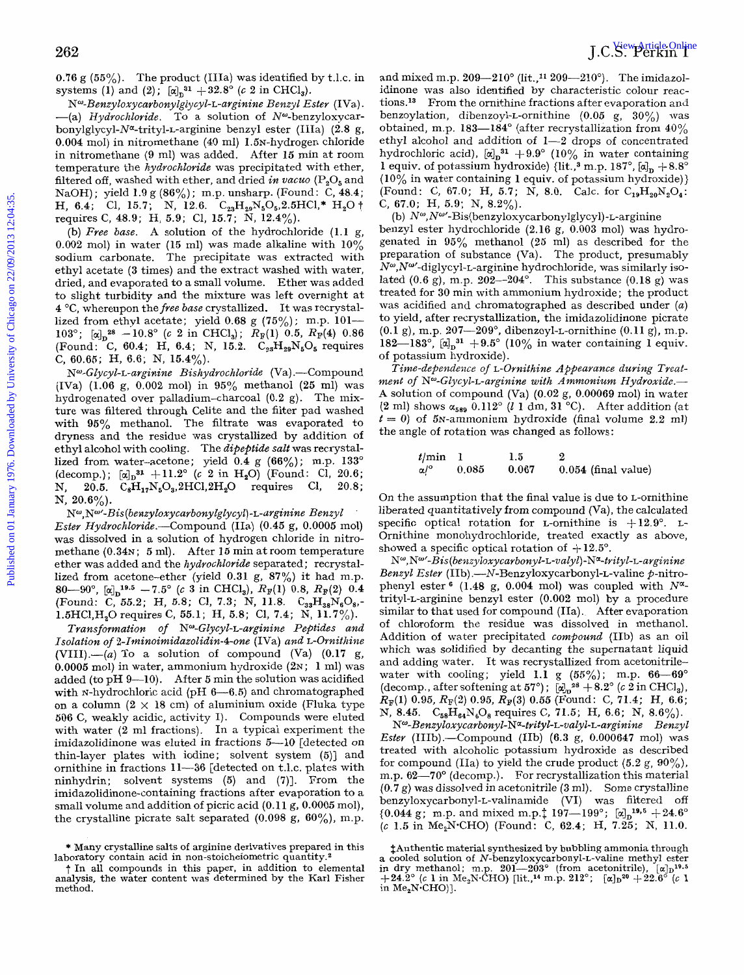**0.76** g *(55%).* The product (IIIa) was identified by t.1.c. in systems (1) and (2);  $[\alpha]_D^{31} + 32.8^{\circ}$  (c 2 in CHCl<sub>3</sub>).

*N<sup>ω</sup>-Benzyloxycarbonylglycyl-L-arginine Benzyl Ester* (IVa).<br>
-(a) Hydrochloride. To a solution of N<sup>ω</sup>-benzyloxycar**bonylglycyl-Nq-trityl-L-arginine** benzyl ester (IIIa) **(2.8** g, 0.004 mol) in nitromethane (40 ml) 1.5N-hydrogen chloride in nitromethane **(9** ml) was added. After **15** min at room temperature the hydrochloride was precipitated with ether, filtered off, washed with ether, and dried *in* vacuo **(P,05** and NaOH) ; yield **1.9** g **(86%)** ; m.p. unsharp. (Found: C, **48.4;**  H, **6.4;** Cl, 15.7; N, 12.6.  $C_{23}H_{29}N_5O_5, 2.5HCl^* H_2O^+$ requires C, **48.9;** H, **5.9;** C1, **15.7;** N, **12.4%).** 

(b) Free base. A solution of the hydrochloride **(1.1** g, **0.002** mol) in water **(15** ml) was made alkaline with 10% sodium carbonate. The precipitate was extracted with ethyl acetate **(3** times) and the extract washed with water, dried, and evaporated to a small volume. Ether was added to slight turbidity and the mixture was left overnight at **4** "C, whereupon the free base crystallized. It was recrystallized from ethyl acetate; yield **0.68** g **(75%);** m.p. **101-**  103<sup>°</sup>;  $\left[\alpha\right]_0^{28}$  -10.8<sup>°</sup> (c 2 in CHCl<sub>3</sub>);  $R_F(1)$  0.5,  $R_F(4)$  0.86 (Found: C, **60.4;** H, **6.4;** N, 15.2. C,,H,,N50, requires C, **60.65;** H, **6.6;** N, **15.4%).** 

 $N^{\omega}$ -Glycyl-L-arginine Bishydrochloride (Va).—Compound (IVa) **(1.06** g, 0.002 mol) in **95%** methanol **(25** ml) was hydrogenated over palladium-charcoal (0.2 g). The mixture was filtered through Celite and the filter pad washed with **95%** methanol. The filtrate was evaporated to dryness and the residue was crystallized by addition of ethyl alcohol with cooling. The dipeptide salt was recrystallized from water-acetone; yield **0.4** g **(66%);** m.p. **133"**   $(\text{decomp.});$   $[\alpha]_D^{31} + 11.2^{\circ}$  (*c* 2 in H<sub>2</sub>O) (Found: Cl, 20.6; N, **20.5.** C,Hl,N,0,,2HC1,2H20 requires C1, **20.8;**  N, **20.6%).** 

 $N^{\omega}$ ,  $N^{\omega}$ '-Bis (benzy loxy carbony lgly cyl) - L-arginine Benzy *l* Ester Hydrochloride.-Compound (IIa) **(0.45 g,** 0.0005 mol) was dissolved in a solution of hydrogen chloride in nitromethane (0.34 $\times$ ; 5 ml). After 15 min at room temperature ether was added and the hydrochloride separated; recrystallized from acetone-ether (yield **0.31** g, **87%)** it had m.p.  $80-90^{\circ}$ ,  $\left[\alpha\right]_{\text{D}}^{19.5}$   $-7.5^{\circ}$  (c 3 in CHCl<sub>3</sub>),  $R_{\text{F}}(1)$  0.8,  $R_{\text{F}}(2)$  0.4 (Found: **C, 55.2;** H, *5.8;* c1, **7.3;** N, **11.8.** C3,H3,N608,- 1.5HC1,H20 requires **C, 55.1;** H, *5.8;* C1, **7.4;** N, **11.7%).**  .

Transformation *of* Nw-Glycyl-L-arginine Peptides and Isolation *of 2-Iminoimidazolidin-4-one* (IVa) and L-Omithine  $(VIII)$ .—(a) To a solution of compound  $(Va)$   $(0.17 g, ...)$ *0.0005* mol) in water, ammonium hydroxide **(2~; 1** ml) was added (to pH **9-10).** After *5* min the solution was acidified with N-hydrochloric acid (pH 6-6.5) and chromatographed on a column  $(2 \times 18$  cm) of aluminium oxide (Fluka type **506 C,** weakly acidic, activity I). Compounds were eluted with water **(2** ml fractions). In a typical experiment the imidazolidinone was eluted in fractions **5-10** [detected on thin-layer plates with iodine; solvent system *(5)]* and ornithine in fractions **11-36** [detected on t.1.c. plates with ninhydrin; solvent systems *(5)* and **(7)].** From the imidazolidinone-containing fractions after evaporation to a small volume and addition of picric acid **(0.11** g, *0.0005* mol), the crystalline picrate salt separated **(0.098** g, **60%),** m.p. and mixed m.p.  $209-210^{\circ}$  (lit.,<sup>11</sup> 209-210°). The imidazolidinone was also identified by characteristic colour reactions.<sup>13</sup> From the ornithine fractions after evaporation and benzoylation, dibenzoyl-L-ornithine (0.05 g, **30%)** was obtained, m.p. **183-184"** (after recrystallization from **40%**  ethyl alcohol and addition of **1-2** drops of concentrated hydrochloric acid),  $[\alpha]_n^{31} + 9.9^\circ$  (10% in water containing 1 equiv. of potassium hydroxide) {lit.,<sup>3</sup> m.p.  $187^\circ$ ,  $\alpha \cdot \beta$ ,  $+8.8^\circ$ **(10%** in water containing **1** equiv. of potassium hydroxide)} (Found: C, **67.0;** H, **5.7;** N, **8.0.** Calc. for C,,H,,N,O,: C, **67.0;** H, **5.9;** N, 8.2%).

benzyl ester hydrochloride **(2.16** g, **0.003** mol) was hydrogenated in **95%** methanol (25 ml) as described for the preparation of substance  $(V<sub>a</sub>)$ . The product, presumably  $N^{\omega}$ , N<sup> $\omega$ </sup>-diglycyl-t-arginine hydrochloride, was similarly isolated **(0.6** g), m.p. **202-204".** This substance **(0.18** g) was treated for **30** min with ammonium hydroxide; the product was acidified and chromatographed as described under (a) to yield, after recrystallization, the imidazolidinone picrate **(0.1** g), m.p. **207-209",** dibenzoyl-L-ornithine **(0.11** g), m.p. 182-183<sup>°</sup>,  $[\alpha]_n^{31} + 9.5^{\circ}$  (10% in water containing 1 equiv. of potassium hydroxide). (b)  $N^{\omega}$ ,  $N^{\omega}$ -Bis(benzyloxycarbonylglycyl) - L-arginine 2622<br>
2622  $\overline{92}$   $\overline{92}$   $\overline{92}$   $\overline{92}$   $\overline{92}$   $\overline{92}$   $\overline{92}$   $\overline{92}$   $\overline{92}$   $\overline{92}$   $\overline{92}$   $\overline{92}$   $\overline{92}$   $\overline{92}$   $\overline{92}$   $\overline{92}$   $\overline{92}$   $\overline{92}$   $\overline{92}$   $\overline{92}$   $\overline{92}$ 

Time-dependence *of* L-Omithine *A* fpearance during *Twat*ment of N<sup>o</sup>-Glycyl-L-arginine with Ammonium Hydroxide.-**A** solution of compound (Va) (0.02 g, **0.00069** mol) in water  $(2 \text{ ml})$  shows  $\alpha_{589}$  0.112°  $(l \text{ 1 dm}, 31 \text{ °C})$ . After addition (at  $t = 0$ ) of 5N-ammonium hydroxide (final volume 2.2 ml) the angle **of** rotation was changed as follows:

| $t/min$ 1             |       | 1.5   |                       |
|-----------------------|-------|-------|-----------------------|
| $\alpha$ / $^{\circ}$ | 0.085 | 0.067 | $0.054$ (final value) |

On the assumption that the final value is due to L-ornithine liberated quantitatively from compound (Va), the calculated specific optical rotation for *L*-ornithine is  $+12.9^{\circ}$ . *L*-Ornithine monohydrochloride, treated exactly as above, showed a specific optical rotation of  $+12.5^{\circ}$ .

N<sup>w</sup>, N<sup>w</sup>-Bis(benzyloxycarbonyl-L-valyl)-N<sup>a</sup>-trityl-L-arginine Benzyl Ester (IIb) **.-N-Benzyloxycarbonyl-L-valine** p-nitrophenyl ester  $(1.48 \text{ g}, 0.004 \text{ mol})$  was coupled with  $N^{\alpha}$ trityl-L-arginine benzyl ester **(0.002** mol) by a procedure similar to that used for compound (IIa). After evaporation of chloroform the residue was dissolved in methanol. Addition of water precipitated compound (IIb) as an oil which was solidified by decanting the supernatant liquid and adding water. It was recrystallized from acetonitrilewater with cooling; yield 1.1 *g*  $(55\%)$ ; m.p.  $66-69^{\circ}$  (decomp., after softening at  $57^{\circ}$ );  $[\alpha]_p^{28} + 8.2^{\circ}$  (*c* 2 in CHCl<sub>3</sub>),  $R_{\mathbb{F}}(1)$  0.95,  $R_{\mathbb{F}}(2)$  0.95,  $R_{\mathbb{F}}(3)$  0.55 (Found: C, 71.4; H, 6.6; N, 8.45.  $C_{58}H_{64}N_6O_8$  requires C, 71.5; H, 6.6; N, 8.6%).

 $N^{\omega}$ -Benzyloxycarbonyl-N<sup>a</sup>-trityl-L-valyl-L-arginine Benzyl Ester (IIIb).-Compound (IIb) **(6.3** g, **0.000647** mol) was treated with alcoholic potassium hydroxide as described for compound (IIa) to yield the crude product  $(5.2 \text{ g}, 90\%)$ , m.p.  $62-70^{\circ}$  (decomp.). For recrystallization this material **(0.7** *g)* was dissolved in acetonitrile **(3** ml). Some crystalline **benzyloxycarbonyl-L-valinamide** (VI) was filtered off  ${0.044 \text{ g}}$ ; m.p. and mixed m.p. ${197-199^{\circ}}$ ;  ${[\alpha]_D}^{19,5} +24.6^{\circ}$ (c **1.5** in Me,NCHO) (Found: **C, 62.4;** H, **7.25;** N, **11.0.** 

<sup>\*</sup> Many crystalline salts of arginine derivatives prepared in this laboratory contain acid in non-stoicheiometric quantity.<sup>2</sup>

t In all compounds in this paper, in addition to elemental analysis, the water content was determined by the **Karl** Fisher method.

<sup>&</sup>lt;sup>†</sup>Authentic material synthesized by bubbling ammonia through<br>a cooled solution of *N*-benzyloxycarbonyl-L-valine methyl ester<br>in dry methanol; m.p. 201—203° (from acetonitrile),  $[\alpha]_D^{19.5}$ <br>+24.2° (c 1 in Me<sub>2</sub>N·CHO) [ in  $Me<sub>2</sub>N$  CHO)].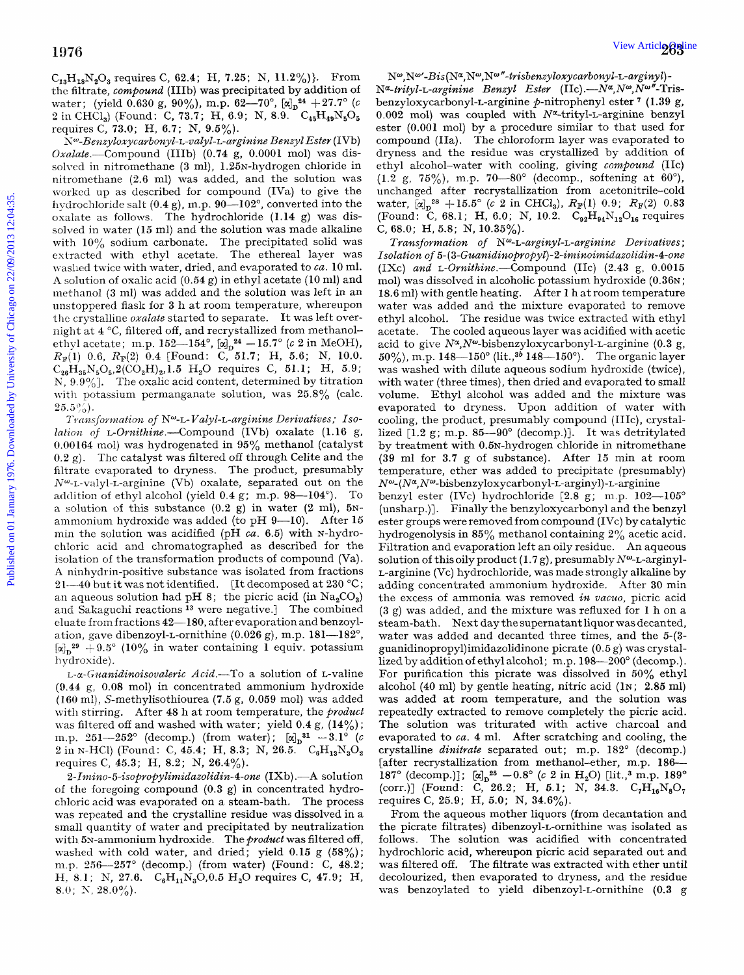**C,,H1,N20,** requires C, 62.4; H, **7.25;** N, 11.2%)). From thc filtrate, compound (IIIb) was precipitated by addition of water; (yield 0.630 g, 90%), m.p. 62-70°,  $[\alpha]_D^{24} + 27.7^{\circ}$  (c 2 in CHCl<sub>3</sub>) (Found: C, 73.7; H, 6.9; N, 8.9. C<sub>45</sub>H<sub>49</sub>N<sub>5</sub>O<sub>5</sub> requires C, 73.0; H, 6.7; N,  $9.5\%$ ).

 $N^{\omega}$ -Benzyloxycarbonyl-L-valyl-L-arginine Benzyl Ester (IVb)  $Oxalate$ .-Compound (IIIb) (0.74 g, 0.0001 mol) was dissolved in nitromethane (3 ml), 1.25N-hydrogen chloride in nitromethane (2.6 ml) was added, and the solution was worked up as described for compound (IVa) to give the hydrochloride salt  $(0.4 \text{ g})$ , m.p.  $90-102^{\circ}$ , converted into the oxalate as follows. The hydrochloride  $(1.14 \text{ g})$  was dissolved in water (15 ml) and the solution was made alkaline with 10% sodium carbonate. The precipitated solid was extracted with ethyl acetate. The ethereal layer was waslied twice with water, dried, and evaporated to *ca.* 10 ml. **A** solution of oxalic acid (0.54 g) in ethyl acetate (10 ml) and inethanol **(3** nil) was added and the solution was left in an unstoppered flask for 3 h at room temperature, whereupon the crystalline *oxalate* started to separate. It was left overnight at **4** "C, filtered off, and recrystallized from methanolethyl acetate; m.p.  $152-154^{\circ}$ ,  $[\alpha]_D^{24} - 15.7^{\circ}$  (c 2 in MeOH),  $R_{\mathbb{F}}(1)$  0.6,  $R_{\mathbb{F}}(2)$  0.4 [Found: C, 51.7; H, 5.6; N, 10.0.  $C_{26}H_{35}N_{5}O_{5},2(CO_{2}H)_{2},1.5$  H<sub>2</sub>O requires C, 51.1; H, 5.9; N,  $9.9\%$ ]. The oxalic acid content, determined by titration with potassium permanganate solution, was 25.8% (calc.  $25.5\%$ .

*Transformation of N*<sup>o-</sup>L-Valyl-L-arginine Derivatives; Iso*lation of L-Ornithine.*—Compound (IVb) oxalate (1.16 g, 0.00 164 mol) was hydrogenated in **95%** methanol (catalyst  $(0.2 \text{ g})$ . The catalyst was filtered off through Celite and the filtrate evaporated to dryness. The product, presumably  $N^{\omega}$ -L-valyl-L-arginine (Vb) oxalate, separated out on the addition of ethyl alcohol (yield  $0.4$  g; m.p.  $98-104^{\circ}$ ). To a solution of this substance **(0.2** g) in water **(2** ml), *5~*  ammonium hydroxide was added (to pH  $9-10$ ). After 15 min the solution was acidified (pH *ca.* 6.5) with N-hydrochloric acid and chromatographed as described for the isolation of the transformation products of compound (Va). **A** ninhydrin-positive substance was isolated from fractions 21-40 but it was not identified. [It decomposed at 230 °C; an aqueous solution had pH 8; the picric acid (in  $\text{Na}_2\text{CO}_3$ ) and Sakaguchi reactions *l3* were negative.] The combined eluate from fractions 42-180, after evaporation and benzoylation, gave dibenzoyl-L-ornithine (0.026 *g),* m.p. 181-182",  $\left[\alpha\right]_D^{29} + 9.5^\circ$  (10% in water containing 1 equiv. potassium **<sup>11</sup>**ydroxide) .

L-a-Guanidinoisovaleric Acid.-To a solution of L-valine **(0.44** g, 0.08 mol) in concentrated ammonium hydroxide (160 ml), S-methylisothiourea (7.5 g, 0.059 mol) was added with stirring. After **48** h at room temperature, the product was filtered off and washed with water; yield  $0.4$  g,  $(14\%)$ ; m.p.  $251-252^{\circ}$  (decomp.) (from water);  $[\alpha]_D^{31} -3.1^{\circ}$  (c  $2 \text{ in } N\text{-}HCl$ ) (Found: C, 45.4; H, 8.3; N, 26.5.  $C_6H_{13}N_3O_2$ requires **C,** 45.3; H, 8.2; N, 26.4%).

2- *Intino- 5-isopropyZiunidazol~din-4-one* (IXb) .-A solution of the foregoing compound (0.3 *g)* in concentrated hydrochloric acid was evaporated on a steam-bath. The process was repeated and the crystalline residue was dissolved in a small quantity of water and precipitated by neutralization with 5N-ammonium hydroxide. The *product* was filtered off, washed with cold water, and dried; yield 0.15 g *(58%);*  m.p. 256-257° (decomp.) (from water) (Found: C, 48.2; H. 8.1; N, 27.6.  $C_6H_{11}N_3O, 0.5 H_2O$  requires C, 47.9; H, 8.0;  $N$ ,  $28.0\%$ ).

Nw,Nw'-Bis **(Na,NW,NW** "-trisbenzyloxycarbony 1-L-arginy *1)* - Nu-trityl-L-arginine *Benzyl* Ester (IIc) *.-Nu, Nu,* Nw"-Trisbenzyloxycarbonyl-L-arginine p-nitrophenyl ester<sup>7</sup> (1.39 g, 0.002 mol) was coupled with  $N^{\alpha}$ -trityl-L-arginine benzyl ester **(0.001** mol) by a procedure similar to that used for compound (IIa). The chloroform layer was evaporated to dryness and the residue was crystallized by addition of ethyl alcohol-water with cooling, giving compound (IIc) (1.2 g, 75%), m.p. 70-80° (decomp., softening at  $60^{\circ}$ ), unchanged after recrystallization from acetonitrile-cold water,  $\left[\alpha\right]_{\text{D}}^{28} + 15.5^{\circ}$  (c 2 in CHCl<sub>3</sub>),  $R_{\text{F}}(1)$  0.9;  $R_{\text{F}}(2)$  0.83 (Found: C, 68.1; H, 6.0; N, 10.2.  $C_{92}H_{94}N_{12}O_{16}$  requires C, 68.0; H, *5.8;* N, 10.35%).

Transformation *of* N"-L-arginyl-L-arginine Derivatives ; Isolation *of 5-* (3-Guanidinopropyl) *-2-iwtinoimidazolidin-4-one*  (IXc) and  $L$ -Ornithine.--Compound (IIc) (2.43 g, 0.0015 mol) was dissolved in alcoholic potassium hydroxide (0.36N; 18.6 ml) with gentle heating. After 1 h at room temperature water was added and the mixture evaporated to remove ethyl alcohol. The residue was twice extracted with ethyl acetate. The cooled aqueous layer was acidified with acetic acid to give **Na,Nw-bisbenzyloxycarbonyl-L-arginine (0.3** g,  $50\%$ , m.p. 148-150° (lit.,<sup>36</sup> 148-150°). The organic layer was washed with dilute aqueous sodium hydroxide (twice), with water (three times), then dried and evaporated to small volume. Ethyl alcohol was added and the mixture was evaporated to dryness. Upon addition of water with cooling, the product, presumably compound (IIIc), crystallized  $[1.2 \text{ g}; \text{m.p. } 85-90^{\circ} \text{ (decomp.)}].$  It was detritylated by treatment with 0.5N-hydrogen chloride in nitromethane (39 ml for 3.7 g of substance). After 15 min at room temperature, ether was added to precipitate (presumably) *Nu- (Na,* **Nw-bisbenzyloxycarbonyl-L-arginyl)** -L-arginine benzyl ester (IVc) hydrochloride [2.8 g; m.p. 102-105° (unsharp.)]. Finally the benzyloxycarbonyl and the benzyl ester groups were removed from compound (IVc) by catalytic hydrogenolysis in *85%* methanol containing **2%** acetic acid. Filtration and evaporation left an oily residue. An aqueous solution of this oily product  $(1.7 g)$ , presumably  $N^{\omega}$ -L-arginyl-L-arginine (Vc) hydrochloride, was made strongly alkaline by adding concentrated ammonium hydroxide. After **30** min the excess of ammonia was removed *in vacuo*, picric acid (3 g) was added, and the mixture was refluxed for 1 h on a steam-bath. Next day the supernatant liquor was decanted, water was added and decanted three times, and the **5-(3 guanidinopropy1)imidazolidinone** picrate *(0.5* g) was crystallized by addition of ethyl alcohol; m.p. 198—200° (decomp.). For purification this picrate was dissolved in *50%* ethyl alcohol (40 ml) by gentle heating, nitric acid (1 $\times$  ; 2.85 ml) was added at room temperature, and the solution was repeatedly extracted to remove completely the picric acid. The solution was triturated with active charcoal and evaporated to ca. **4** ml. After scratching and cooling, the crystalline *dinitrate* separated out; m.p. 182° (decomp.) [after recrystallization from methanol-ether, m.p. 186- 187° (decomp.)];  $\left[\alpha\right]_0^{25} - 0.8^\circ$  (c 2 in H<sub>2</sub>O) [lit.,<sup>3</sup> m.p. 189° (corr.)] (Found: C, 26.2; H, 5.1; N, 34.3.  $C_7H_{16}N_8C$ requires **C,** 25.9; H, 5.0; N, 34.6%). 1976<br>
Published on 01 Max (24, 11, 7.8; N. 112%)). From Perse-BigNeys-Newtoning<br>popularity of Chicago or Chicago of Chicago or Chicago or Chicago or Chicago or Chicago or Chicago or Chicago or Chicago or Chicago or Chicag

> From the aqueous mother liquors (from decantation and the picrate filtrates) dibenzoyl-L-ornithine was isolated as follows. The solution was acidified with concentrated hydrochloric acid, whereupon picric acid separated out and was filtered off. The filtrate was extracted with ether until decolourized, then evaporated to dryness, and the residue was benzoylated to yield dibenzoyl-L-ornithine **(0.3** g